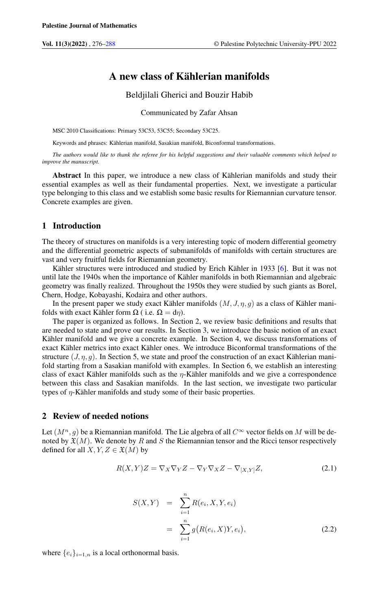# A new class of Kählerian manifolds

Beldjilali Gherici and Bouzir Habib

Communicated by Zafar Ahsan

MSC 2010 Classifications: Primary 53C53, 53C55; Secondary 53C25.

Keywords and phrases: Kählerian manifold, Sasakian manifold, Biconformal transformations.

*The authors would like to thank the referee for his helpful suggestions and their valuable comments which helped to improve the manuscript.*

Abstract In this paper, we introduce a new class of Kählerian manifolds and study their essential examples as well as their fundamental properties. Next, we investigate a particular type belonging to this class and we establish some basic results for Riemannian curvature tensor. Concrete examples are given.

# 1 Introduction

The theory of structures on manifolds is a very interesting topic of modern differential geometry and the differential geometric aspects of submanifolds of manifolds with certain structures are vast and very fruitful fields for Riemannian geometry.

Kähler structures were introduced and studied by Erich Kähler in 1933 [\[6\]](#page-11-1). But it was not until late the 1940s when the importance of Kähler manifolds in both Riemannian and algebraic geometry was finally realized. Throughout the 1950s they were studied by such giants as Borel, Chern, Hodge, Kobayashi, Kodaira and other authors.

In the present paper we study exact Kähler manifolds  $(M, J, \eta, g)$  as a class of Kähler manifolds with exact Kähler form  $\Omega$  ( i.e.  $\Omega = d\eta$ ).

The paper is organized as follows. In Section 2, we review basic definitions and results that are needed to state and prove our results. In Section 3, we introduce the basic notion of an exact Kähler manifold and we give a concrete example. In Section 4, we discuss transformations of exact Kähler metrics into exact Kähler ones. We introduce Biconformal transformations of the structure  $(J, \eta, g)$ . In Section 5, we state and proof the construction of an exact Kählerian manifold starting from a Sasakian manifold with examples. In Section 6, we establish an interesting class of exact Kähler manifolds such as the  $\eta$ -Kähler manifolds and we give a correspondence between this class and Sasakian manifolds. In the last section, we investigate two particular types of  $\eta$ -Kähler manifolds and study some of their basic properties.

### 2 Review of needed notions

<span id="page-0-0"></span>Let  $(M^n, g)$  be a Riemannian manifold. The Lie algebra of all  $C^{\infty}$  vector fields on M will be denoted by  $\mathfrak{X}(M)$ . We denote by R and S the Riemannian tensor and the Ricci tensor respectively defined for all  $X, Y, Z \in \mathfrak{X}(M)$  by

$$
R(X,Y)Z = \nabla_X \nabla_Y Z - \nabla_Y \nabla_X Z - \nabla_{[X,Y]} Z,\tag{2.1}
$$

<span id="page-0-1"></span>
$$
S(X,Y) = \sum_{i=1}^{n} R(e_i, X, Y, e_i)
$$
  
= 
$$
\sum_{i=1}^{n} g(R(e_i, X)Y, e_i),
$$
 (2.2)

where  $\{e_i\}_{i=1,n}$  is a local orthonormal basis.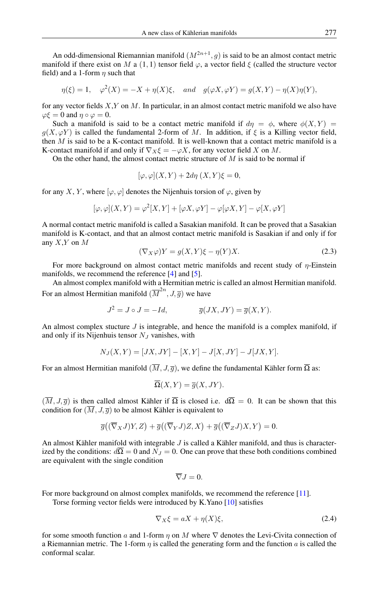An odd-dimensional Riemannian manifold  $(M^{2n+1}, g)$  is said to be an almost contact metric manifold if there exist on M a (1, 1) tensor field  $\varphi$ , a vector field  $\xi$  (called the structure vector field) and a 1-form  $\eta$  such that

$$
\eta(\xi) = 1, \quad \varphi^2(X) = -X + \eta(X)\xi, \quad \text{and} \quad g(\varphi X, \varphi Y) = g(X, Y) - \eta(X)\eta(Y),
$$

for any vector fields  $X, Y$  on M. In particular, in an almost contact metric manifold we also have  $\varphi \xi = 0$  and  $\eta \circ \varphi = 0$ .

Such a manifold is said to be a contact metric manifold if  $d\eta = \phi$ , where  $\phi(X, Y) =$  $g(X, \varphi Y)$  is called the fundamental 2-form of M. In addition, if  $\xi$  is a Killing vector field, then  $M$  is said to be a K-contact manifold. It is well-known that a contact metric manifold is a K-contact manifold if and only if  $\nabla_X \xi = -\varphi X$ , for any vector field X on M.

On the other hand, the almost contact metric structure of  $M$  is said to be normal if

$$
[\varphi, \varphi](X, Y) + 2d\eta (X, Y)\xi = 0,
$$

for any X, Y, where  $[\varphi, \varphi]$  denotes the Nijenhuis torsion of  $\varphi$ , given by

$$
[\varphi,\varphi](X,Y)=\varphi^2[X,Y]+[\varphi X,\varphi Y]-\varphi[\varphi X,Y]-\varphi[X,\varphi Y]
$$

A normal contact metric manifold is called a Sasakian manifold. It can be proved that a Sasakian manifold is K-contact, and that an almost contact metric manifold is Sasakian if and only if for any  $X, Y$  on  $M$ 

$$
(\nabla_X \varphi)Y = g(X, Y)\xi - \eta(Y)X.
$$
\n(2.3)

For more background on almost contact metric manifolds and recent study of  $\eta$ -Einstein manifolds, we recommend the reference [\[4\]](#page-11-2) and [\[5\]](#page-11-3).

An almost complex manifold with a Hermitian metric is called an almost Hermitian manifold. For an almost Hermitian manifold  $(\overline{M}^{2n}, J, \overline{g})$  we have

$$
J^2 = J \circ J = -Id, \qquad \qquad \overline{g}(JX, JY) = \overline{g}(X, Y).
$$

An almost complex stucture  $J$  is integrable, and hence the manifold is a complex manifold, if and only if its Nijenhuis tensor  $N_J$  vanishes, with

$$
N_J(X, Y) = [JX, JY] - [X, Y] - J[X, JY] - J[JX, Y].
$$

For an almost Hermitian manifold  $(\overline{M}, J, \overline{g})$ , we define the fundamental Kähler form  $\overline{\Omega}$  as:

$$
\overline{\Omega}(X,Y) = \overline{g}(X,JY).
$$

 $(\overline{M}, J, \overline{g})$  is then called almost Kähler if  $\overline{\Omega}$  is closed i.e.  $d\overline{\Omega} = 0$ . It can be shown that this condition for  $(\overline{M}, J, \overline{g})$  to be almost Kähler is equivalent to

$$
\overline{g}((\overline{\nabla}_X J)Y, Z) + \overline{g}((\overline{\nabla}_Y J)Z, X) + \overline{g}((\overline{\nabla}_Z J)X, Y) = 0.
$$

An almost Kähler manifold with integrable J is called a Kähler manifold, and thus is characterized by the conditions:  $d\Omega = 0$  and  $N_J = 0$ . One can prove that these both conditions combined are equivalent with the single condition

$$
\overline{\nabla}J=0.
$$

For more background on almost complex manifolds, we recommend the reference [\[11\]](#page-12-0).

Torse forming vector fields were introduced by K.Yano [\[10\]](#page-12-1) satisfies

$$
\nabla_X \xi = aX + \eta(X)\xi,\tag{2.4}
$$

for some smooth function a and 1-form  $\eta$  on M where  $\nabla$  denotes the Levi-Civita connection of a Riemannian metric. The 1-form  $\eta$  is called the generating form and the function a is called the conformal scalar.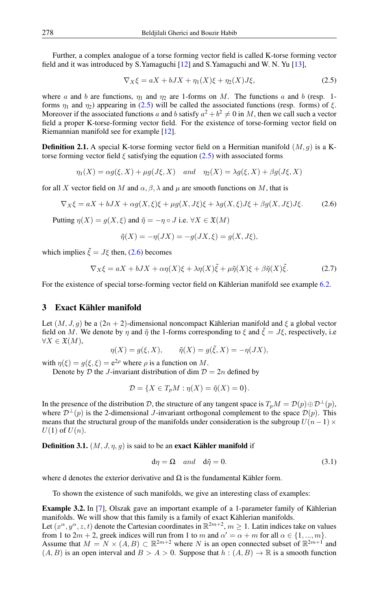Further, a complex analogue of a torse forming vector field is called K-torse forming vector field and it was introduced by S.Yamaguchi [\[12\]](#page-12-2) and S.Yamaguchi and W. N. Yu [\[13\]](#page-12-3),

<span id="page-2-0"></span>
$$
\nabla_X \xi = aX + bJX + \eta_1(X)\xi + \eta_2(X)J\xi,
$$
\n(2.5)

where a and b are functions,  $\eta_1$  and  $\eta_2$  are 1-forms on M. The functions a and b (resp. 1forms  $\eta_1$  and  $\eta_2$ ) appearing in [\(2.5\)](#page-2-0) will be called the associated functions (resp. forms) of  $\xi$ . Moreover if the associated functions a and b satisfy  $a^2 + b^2 \neq 0$  in M, then we call such a vector field a proper K-torse-forming vector field. For the existence of torse-forming vector field on Riemannian manifold see for example [\[12\]](#page-12-2).

**Definition 2.1.** A special K-torse forming vector field on a Hermitian manifold  $(M, g)$  is a Ktorse forming vector field  $\xi$  satisfying the equation [\(2.5\)](#page-2-0) with associated forms

 $\eta_1(X) = \alpha g(\xi, X) + \mu g(J\xi, X)$  and  $\eta_2(X) = \lambda g(\xi, X) + \beta g(J\xi, X)$ 

for all X vector field on M and  $\alpha$ ,  $\beta$ ,  $\lambda$  and  $\mu$  are smooth functions on M, that is

$$
\nabla_X \xi = aX + bJX + \alpha g(X, \xi)\xi + \mu g(X, J\xi)\xi + \lambda g(X, \xi)J\xi + \beta g(X, J\xi)J\xi. \tag{2.6}
$$

Putting  $\eta(X) = g(X, \xi)$  and  $\tilde{\eta} = -\eta \circ J$  i.e.  $\forall X \in \mathfrak{X}(M)$ 

<span id="page-2-2"></span><span id="page-2-1"></span>
$$
\tilde{\eta}(X) = -\eta(JX) = -g(JX, \xi) = g(X, J\xi),
$$

which implies  $\tilde{\xi} = J\xi$  then, [\(2.6\)](#page-2-1) becomes

$$
\nabla_X \xi = aX + bJX + \alpha \eta(X)\xi + \lambda \eta(X)\tilde{\xi} + \mu \tilde{\eta}(X)\xi + \beta \tilde{\eta}(X)\tilde{\xi}.
$$
 (2.7)

For the existence of special torse-forming vector field on Kählerian manifold see example [6.2.](#page-8-0)

## 3 Exact Kähler manifold

Let  $(M, J, g)$  be a  $(2n + 2)$ -dimensional noncompact Kählerian manifold and  $\xi$  a global vector field on M. We denote by  $\eta$  and  $\tilde{\eta}$  the 1-forms corresponding to  $\xi$  and  $\tilde{\xi} = J\xi$ , respectively, i.e  $\forall X \in \mathfrak{X}(M),$ 

$$
\eta(X) = g(\xi, X), \qquad \tilde{\eta}(X) = g(\tilde{\xi}, X) = -\eta(JX),
$$

with  $\eta(\xi) = g(\xi, \xi) = e^{2\rho}$  where  $\rho$  is a function on M.

Denote by D the J-invariant distribution of dim  $D = 2n$  defined by

$$
\mathcal{D} = \{ X \in T_p M : \eta(X) = \tilde{\eta}(X) = 0 \}.
$$

In the presence of the distribution D, the structure of any tangent space is  $T_pM = \mathcal{D}(p) \oplus \mathcal{D}^{\perp}(p)$ , where  $\mathcal{D}^{\perp}(p)$  is the 2-dimensional J-invariant orthogonal complement to the space  $\mathcal{D}(p)$ . This means that the structural group of the manifolds under consideration is the subgroup  $U(n - 1) \times$  $U(1)$  of  $U(n)$ .

**Definition 3.1.**  $(M, J, \eta, g)$  is said to be an **exact Kähler manifold** if

$$
d\eta = \Omega \quad and \quad d\tilde{\eta} = 0. \tag{3.1}
$$

where d denotes the exterior derivative and  $\Omega$  is the fundamental Kähler form.

To shown the existence of such manifolds, we give an interesting class of examples:

<span id="page-2-3"></span>Example 3.2. In [\[7\]](#page-11-4), Olszak gave an important example of a 1-parameter family of Kählerian manifolds. We will show that this family is a family of exact Kählerian manifolds.

Let  $(x^{\alpha}, y^{\alpha}, z, t)$  denote the Cartesian coordinates in  $\mathbb{R}^{2m+2}$ ,  $m \geq 1$ . Latin indices take on values from 1 to  $2m + 2$ , greek indices will run from 1 to m and  $\alpha' = \alpha + m$  for all  $\alpha \in \{1, ..., m\}$ .

Assume that  $M = N \times (A, B) \subset \mathbb{R}^{2m+2}$  where N is an open connected subset of  $\mathbb{R}^{2m+1}$  and  $(A, B)$  is an open interval and  $B > A > 0$ . Suppose that  $h : (A, B) \to \mathbb{R}$  is a smooth function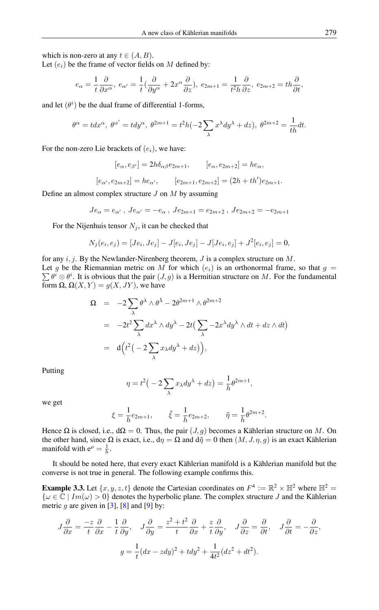which is non-zero at any  $t \in (A, B)$ .

Let  $(e_i)$  be the frame of vector fields on M defined by:

$$
e_{\alpha} = \frac{1}{t} \frac{\partial}{\partial x^{\alpha}}, \ e_{\alpha'} = \frac{1}{t} \left( \frac{\partial}{\partial y^{\alpha}} + 2x^{\alpha} \frac{\partial}{\partial z} \right), \ e_{2m+1} = \frac{1}{t^2 h} \frac{\partial}{\partial z}, \ e_{2m+2} = th \frac{\partial}{\partial t},
$$

and let  $(\theta^i)$  be the dual frame of differential 1-forms,

$$
\theta^{\alpha} = t dx^{\alpha}, \ \theta^{\alpha'} = t dy^{\alpha}, \ \theta^{2m+1} = t^2 h(-2 \sum_{\lambda} x^{\lambda} dy^{\lambda} + dz), \ \theta^{2m+2} = \frac{1}{th} dt.
$$

For the non-zero Lie brackets of  $(e_i)$ , we have:

$$
[e_{\alpha}, e_{\beta'}] = 2h\delta_{\alpha\beta}e_{2m+1}, \qquad [e_{\alpha}, e_{2m+2}] = he_{\alpha},
$$

 $[e_{\alpha}, e_{2m+2}] = he_{\alpha'}, \qquad [e_{2m+1}, e_{2m+2}] = (2h + th')e_{2m+1}.$ 

Define an almost complex structure  $J$  on  $M$  by assuming

$$
Je_{\alpha}=e_{\alpha'}
$$
 ,  $Je_{\alpha'}=-e_{\alpha}$  ,  $Je_{2m+1}=e_{2m+2}$  ,  $Je_{2m+2}=-e_{2m+1}$ 

For the Nijenhuis tensor  $N_j$ , it can be checked that

$$
N_j(e_i, e_j) = [Je_i, Je_j] - J[e_i, Je_j] - J[Je_i, e_j] + J^2[e_i, e_j] = 0,
$$

for any  $i, j$ . By the Newlander-Nirenberg theorem,  $J$  is a complex structure on  $M$ . Let g be the Riemannian metric on M for which  $(e_i)$  is an orthonormal frame, so that  $g =$  $\sum \theta^i \otimes \theta^i$ . It is obvious that the pair  $(J, g)$  is a Hermitian structure on M. For the fundamental form  $\Omega$ ,  $\Omega(X, Y) = g(X, JY)$ , we have

$$
\Omega = -2\sum_{\lambda} \theta^{\lambda} \wedge \theta^{\bar{\lambda}} - 2\theta^{2m+1} \wedge \theta^{2m+2}
$$
  
= 
$$
-2t^{2} \sum_{\lambda} dx^{\lambda} \wedge dy^{\lambda} - 2t \Big( \sum_{\lambda} -2x^{\lambda} dy^{\lambda} \wedge dt + dz \wedge dt \Big)
$$
  
= 
$$
d\Big(t^{2} \Big(-2 \sum_{\lambda} x_{\lambda} dy^{\lambda} + dz\Big)\Big),
$$

Putting

$$
\eta = t^2 \left( -2 \sum_{\lambda} x_{\lambda} dy^{\lambda} + dz \right) = \frac{1}{h} \theta^{2m+1},
$$

we get

$$
\xi = \frac{1}{h}e_{2m+1},
$$
  $\tilde{\xi} = \frac{1}{h}e_{2m+2},$   $\tilde{\eta} = \frac{1}{h}\theta^{2m+2}.$ 

Hence  $\Omega$  is closed, i.e.,  $d\Omega = 0$ . Thus, the pair  $(J, g)$  becomes a Kählerian structure on M. On the other hand, since  $\Omega$  is exact, i.e.,  $d\eta = \Omega$  and  $d\tilde{\eta} = 0$  then  $(M, J, \eta, g)$  is an exact Kählerian manifold with  $e^{\rho} = \frac{1}{h}$ .

It should be noted here, that every exact Kählerian manifold is a Kählerian manifold but the converse is not true in general. The following example confirms this.

**Example 3.3.** Let  $\{x, y, z, t\}$  denote the Cartesian coordinates on  $F^4 := \mathbb{R}^2 \times \mathbb{H}^2$  where  $\mathbb{H}^2 =$  $\{\omega \in \mathbb{C} \mid Im(\omega) > 0\}$  denotes the hyperbolic plane. The complex structure J and the Kählerian metric  $g$  are given in [\[3\]](#page-11-5), [\[8\]](#page-11-6) and [\[9\]](#page-11-7) by:

$$
J\frac{\partial}{\partial x} = \frac{-z}{t}\frac{\partial}{\partial x} - \frac{1}{t}\frac{\partial}{\partial y}, \quad J\frac{\partial}{\partial y} = \frac{z^2 + t^2}{t}\frac{\partial}{\partial x} + \frac{z}{t}\frac{\partial}{\partial y}, \quad J\frac{\partial}{\partial z} = \frac{\partial}{\partial t}, \quad J\frac{\partial}{\partial t} = -\frac{\partial}{\partial z},
$$

$$
g = \frac{1}{t}(dx - zdy)^2 + tdy^2 + \frac{1}{4t^2}(dz^2 + dt^2).
$$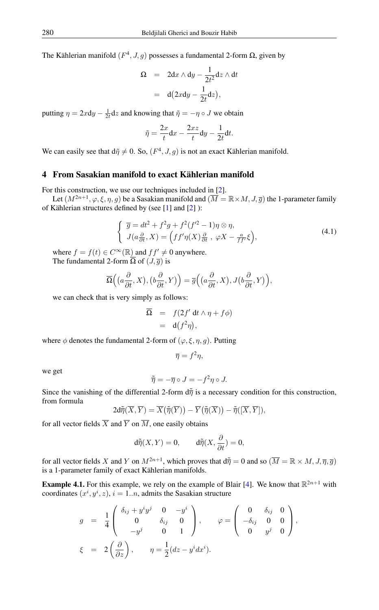The Kählerian manifold  $(F^4, J, g)$  possesses a fundamental 2-form Ω, given by

$$
\Omega = 2dx \wedge dy - \frac{1}{2t^2} dz \wedge dt
$$

$$
= d(2xdy - \frac{1}{2t}dz),
$$

putting  $\eta = 2x dy - \frac{1}{2t} dz$  and knowing that  $\tilde{\eta} = -\eta \circ J$  we obtain

$$
\tilde{\eta} = \frac{2x}{t} dx - \frac{2xz}{t} dy - \frac{1}{2t} dt.
$$

We can easily see that  $d\tilde{\eta} \neq 0$ . So,  $(F^4, J, g)$  is not an exact Kählerian manifold.

### 4 From Sasakian manifold to exact Kählerian manifold

For this construction, we use our techniques included in [\[2\]](#page-11-8).

<span id="page-4-0"></span>Let  $(M^{2n+1}, \varphi, \xi, \eta, g)$  be a Sasakian manifold and  $(\overline{M} = \mathbb{R} \times M, J, \overline{g})$  the 1-parameter family of Kählerian structures defined by (see [\[1\]](#page-11-9) and [\[2\]](#page-11-8) ):

$$
\begin{cases} \overline{g} = dt^2 + f^2 g + f^2 (f'^2 - 1) \eta \otimes \eta, \\ J(a \frac{\partial}{\partial t}, X) = \left( f f' \eta(X) \frac{\partial}{\partial t}, \varphi X - \frac{a}{f f'} \xi \right), \end{cases} \tag{4.1}
$$

where  $f = f(t) \in C^{\infty}(\mathbb{R})$  and  $ff' \neq 0$  anywhere. The fundamental 2-form  $\overline{\Omega}$  of  $(J,\overline{g})$  is

$$
\overline{\Omega}\Big(\big(a\frac{\partial}{\partial t}, X\big), \big(b\frac{\partial}{\partial t}, Y\big)\Big) = \overline{g}\Big(\big(a\frac{\partial}{\partial t}, X\big), J\big(b\frac{\partial}{\partial t}, Y\big)\Big),
$$

we can check that is very simply as follows:

$$
\overline{\Omega} = f(2f' dt \wedge \eta + f\phi)
$$
  
= d(f<sup>2</sup>\eta),

where  $\phi$  denotes the fundamental 2-form of  $(\varphi, \xi, \eta, g)$ . Putting

$$
\overline{\eta }=f^{2}\eta ,
$$

we get

$$
\tilde{\overline{\eta}} = -\overline{\eta} \circ J = -f^2 \eta \circ J.
$$

Since the vanishing of the differential 2-form  $d\tilde{\eta}$  is a necessary condition for this construction, from formula

$$
2\mathrm{d}\widetilde{\overline{\eta}}(\overline{X},\overline{Y})=\overline{X}\big(\overline{\widetilde{\eta}}(\overline{Y})\big)-\overline{Y}\big(\overline{\widetilde{\eta}}(\overline{X})\big)-\overline{\widetilde{\eta}}([\overline{X},\overline{Y}]),
$$

for all vector fields  $\overline{X}$  and  $\overline{Y}$  on  $\overline{M}$ , one easily obtains

$$
d\tilde{\overline{\eta}}(X,Y) = 0, \qquad d\tilde{\overline{\eta}}(X,\frac{\partial}{\partial t}) = 0,
$$

for all vector fields X and Y on  $M^{2n+1}$ , which proves that  $d\tilde{\overline{\eta}} = 0$  and so  $(\overline{M} = \mathbb{R} \times M, J, \overline{\eta}, \overline{g})$ is a 1-parameter family of exact Kählerian manifolds.

**Example 4.1.** For this example, we rely on the example of Blair [\[4\]](#page-11-2). We know that  $\mathbb{R}^{2n+1}$  with coordinates  $(x^i, y^i, z)$ ,  $i = 1..n$ , admits the Sasakian structure

$$
g = \frac{1}{4} \begin{pmatrix} \delta_{ij} + y^i y^j & 0 & -y^i \\ 0 & \delta_{ij} & 0 \\ -y^j & 0 & 1 \end{pmatrix}, \qquad \varphi = \begin{pmatrix} 0 & \delta_{ij} & 0 \\ -\delta_{ij} & 0 & 0 \\ 0 & y^j & 0 \end{pmatrix},
$$
  

$$
\xi = 2 \left( \frac{\partial}{\partial z} \right), \qquad \eta = \frac{1}{2} (dz - y^i dx^i).
$$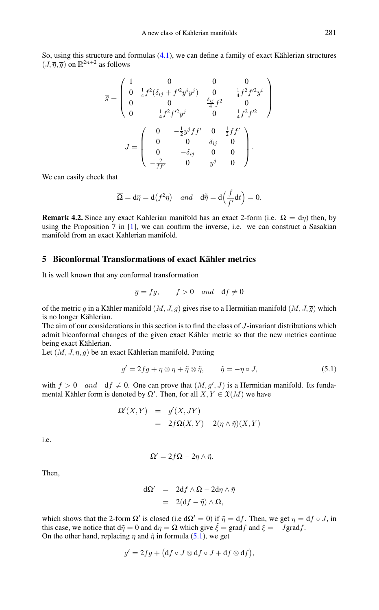So, using this structure and formulas [\(4.1\)](#page-4-0), we can define a family of exact Kählerian structures  $(J, \overline{\eta}, \overline{g})$  on  $\mathbb{R}^{2n+2}$  as follows

$$
\overline{g} = \begin{pmatrix}\n1 & 0 & 0 & 0 \\
0 & \frac{1}{4}f^2(\delta_{ij} + f'^2 y^i y^j) & 0 & -\frac{1}{4}f^2 f'^2 y^i \\
0 & 0 & \frac{\delta_{ij}}{4}f^2 & 0 \\
0 & -\frac{1}{4}f^2 f'^2 y^j & 0 & \frac{1}{4}f^2 f'^2\n\end{pmatrix}
$$
\n
$$
J = \begin{pmatrix}\n0 & -\frac{1}{2}y^j f f' & 0 & \frac{1}{2}f f' \\
0 & 0 & \delta_{ij} & 0 \\
0 & -\delta_{ij} & 0 & 0 \\
-\frac{2}{f f'} & 0 & y^j & 0\n\end{pmatrix}.
$$

We can easily check that

$$
\overline{\Omega} = d\overline{\eta} = d(f^2 \eta) \quad and \quad d\tilde{\overline{\eta}} = d\Big(\frac{f}{f'}dt\Big) = 0.
$$

<span id="page-5-1"></span>**Remark 4.2.** Since any exact Kahlerian manifold has an exact 2-form (i.e.  $\Omega = d\eta$ ) then, by using the Proposition 7 in [\[1\]](#page-11-9), we can confirm the inverse, i.e. we can construct a Sasakian manifold from an exact Kahlerian manifold.

### 5 Biconformal Transformations of exact Kähler metrics

It is well known that any conformal transformation

$$
\overline{g} = fg
$$
,  $f > 0$  and  $df \neq 0$ 

of the metric g in a Kähler manifold  $(M, J, g)$  gives rise to a Hermitian manifold  $(M, J, \overline{g})$  which is no longer Kählerian.

The aim of our considerations in this section is to find the class of J-invariant distributions which admit biconformal changes of the given exact Kähler metric so that the new metrics continue being exact Kählerian.

Let  $(M, J, \eta, g)$  be an exact Kählerian manifold. Putting

<span id="page-5-0"></span>
$$
g' = 2fg + \eta \otimes \eta + \tilde{\eta} \otimes \tilde{\eta}, \qquad \tilde{\eta} = -\eta \circ J, \tag{5.1}
$$

with  $f > 0$  and  $df \neq 0$ . One can prove that  $(M, g', J)$  is a Hermitian manifold. Its fundamental Kähler form is denoted by  $\Omega'$ . Then, for all  $X, Y \in \mathfrak{X}(M)$  we have

$$
\Omega'(X,Y) = g'(X,JY)
$$
  
=  $2f\Omega(X,Y) - 2(\eta \wedge \tilde{\eta})(X,Y)$ 

i.e.

$$
\Omega'=2f\Omega-2\eta\wedge\tilde{\eta}.
$$

Then,

$$
d\Omega' = 2df \wedge \Omega - 2d\eta \wedge \tilde{\eta}
$$
  
= 2(df -  $\tilde{\eta}$ )  $\wedge \Omega$ ,

which shows that the 2-form  $\Omega'$  is closed (i.e d $\Omega' = 0$ ) if  $\tilde{\eta} = df$ . Then, we get  $\eta = df \circ J$ , in this case, we notice that  $d\tilde{\eta} = 0$  and  $d\eta = \Omega$  which give  $\tilde{\xi} = \text{grad} f$  and  $\xi = -J \text{grad} f$ . On the other hand, replacing  $\eta$  and  $\tilde{\eta}$  in formula [\(5.1\)](#page-5-0), we get

$$
g'=2fg+\big(\mathrm{d} f\circ J\otimes\mathrm{d} f\circ J+\mathrm{d} f\otimes\mathrm{d} f\big),
$$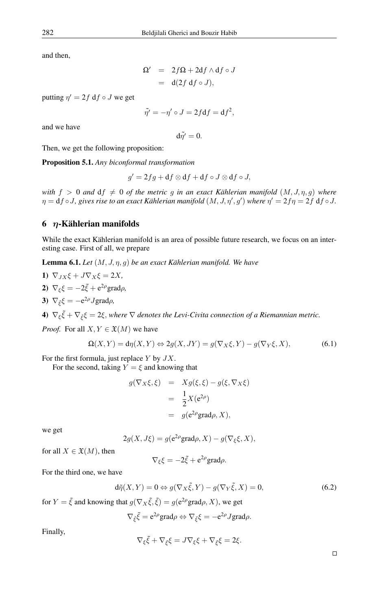and then,

$$
\Omega' = 2f\Omega + 2df \wedge df \circ J
$$
  
= d(2f df \circ J),

putting  $\eta' = 2f \, df \circ J$  we get

$$
\tilde{\eta'} = -\eta' \circ J = 2f \mathrm{d} f = \mathrm{d} f^2,
$$

and we have

 $d\tilde{n'}=0.$ 

Then, we get the following proposition:

Proposition 5.1. *Any biconformal transformation*

$$
g' = 2fg + df \otimes df + df \circ J \otimes df \circ J,
$$

*with*  $f > 0$  *and*  $df \neq 0$  *of the metric g in an exact Kählerian manifold*  $(M, J, \eta, g)$  *where*  $\eta={\rm d} f\circ J$ , gives rise to an exact Kählerian manifold  $(M,J,\eta',g')$  where  $\eta'=2f\eta=2f~{\rm d} f\circ J.$ 

# 6 η-Kählerian manifolds

While the exact Kählerian manifold is an area of possible future research, we focus on an interesting case. First of all, we prepare

<span id="page-6-0"></span>Lemma 6.1. *Let* (M, J, η, g) *be an exact Kählerian manifold. We have*

- 1)  $\nabla_{JX}\xi + J\nabla_X\xi = 2X$ ,
- 2)  $\nabla_{\xi} \xi = -2\tilde{\xi} + e^{2\rho} \text{grad}\rho,$
- 3)  $\nabla_{\tilde{\xi}} \xi = -e^{2\rho} J \text{grad} \rho$ ,

4)  $\nabla_{\xi} \tilde{\xi} + \nabla_{\tilde{\xi}} \xi = 2\xi$ , where  $\nabla$  denotes the Levi-Civita connection of a Riemannian metric.

*Proof.* For all  $X, Y \in \mathfrak{X}(M)$  we have

$$
\Omega(X,Y) = d\eta(X,Y) \Leftrightarrow 2g(X,JY) = g(\nabla_X \xi, Y) - g(\nabla_Y \xi, X), \tag{6.1}
$$

For the first formula, just replace  $Y$  by  $JX$ .

For the second, taking  $Y = \xi$  and knowing that

<span id="page-6-1"></span>
$$
g(\nabla_X \xi, \xi) = Xg(\xi, \xi) - g(\xi, \nabla_X \xi)
$$
  
= 
$$
\frac{1}{2}X(e^{2\rho})
$$
  
= 
$$
g(e^{2\rho})
$$
grad $\rho, X$ ),

we get

$$
2g(X, J\xi) = g(e^{2\rho}\text{grad}\rho, X) - g(\nabla_{\xi}\xi, X),
$$

for all  $X \in \mathfrak{X}(M)$ , then

 $\nabla_{\xi} \xi = -2\tilde{\xi} + e^{2\rho} \text{grad}\rho.$ 

For the third one, we have

$$
d\tilde{\eta}(X,Y) = 0 \Leftrightarrow g(\nabla_X \tilde{\xi}, Y) - g(\nabla_Y \tilde{\xi}, X) = 0,\tag{6.2}
$$

for  $Y = \tilde{\xi}$  and knowing that  $g(\nabla_X \tilde{\xi}, \tilde{\xi}) = g(e^{2\rho} \text{grad}\rho, X)$ , we get

$$
\nabla_{\xi}\tilde{\xi} = e^{2\rho}\text{grad}\rho \Leftrightarrow \nabla_{\tilde{\xi}}\xi = -e^{2\rho}J\text{grad}\rho.
$$

Finally,

$$
\nabla_{\xi}\tilde{\xi} + \nabla_{\tilde{\xi}}\xi = J\nabla_{\xi}\xi + \nabla_{\tilde{\xi}}\xi = 2\xi.
$$

 $\Box$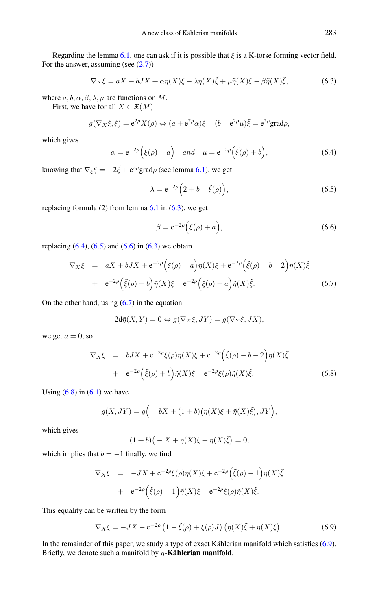Regarding the lemma [6.1,](#page-6-0) one can ask if it is possible that  $\xi$  is a K-torse forming vector field. For the answer, assuming (see  $(2.7)$ )

<span id="page-7-0"></span>
$$
\nabla_X \xi = aX + bJX + \alpha \eta(X)\xi - \lambda \eta(X)\tilde{\xi} + \mu \tilde{\eta}(X)\xi - \beta \tilde{\eta}(X)\tilde{\xi},\tag{6.3}
$$

where  $a, b, \alpha, \beta, \lambda, \mu$  are functions on M.

First, we have for all  $X \in \mathfrak{X}(M)$ 

<span id="page-7-1"></span>
$$
g(\nabla_X \xi, \xi) = e^{2\rho} X(\rho) \Leftrightarrow (a + e^{2\rho} \alpha) \xi - (b - e^{2\rho} \mu) \tilde{\xi} = e^{2\rho} \text{grad} \rho,
$$

which gives

$$
\alpha = e^{-2\rho} \Big( \xi(\rho) - a \Big) \quad \text{and} \quad \mu = e^{-2\rho} \Big( \tilde{\xi}(\rho) + b \Big), \tag{6.4}
$$

knowing that  $\nabla_{\xi} \xi = -2\tilde{\xi} + e^{2\rho} \text{grad}\rho$  (see lemma [6.1\)](#page-6-0), we get

<span id="page-7-2"></span>
$$
\lambda = e^{-2\rho} \left( 2 + b - \tilde{\xi}(\rho) \right),\tag{6.5}
$$

replacing formula (2) from lemma  $6.1$  in  $(6.3)$ , we get

<span id="page-7-3"></span>
$$
\beta = e^{-2\rho} \Big( \xi(\rho) + a \Big), \tag{6.6}
$$

replacing  $(6.4)$ ,  $(6.5)$  and  $(6.6)$  in  $(6.3)$  we obtain

<span id="page-7-4"></span>
$$
\nabla_X \xi = aX + bJX + e^{-2\rho} \Big( \xi(\rho) - a \Big) \eta(X) \xi + e^{-2\rho} \Big( \tilde{\xi}(\rho) - b - 2 \Big) \eta(X) \tilde{\xi}
$$
  
+ 
$$
e^{-2\rho} \Big( \tilde{\xi}(\rho) + b \Big) \tilde{\eta}(X) \xi - e^{-2\rho} \Big( \xi(\rho) + a \Big) \tilde{\eta}(X) \tilde{\xi}.
$$
 (6.7)

On the other hand, using  $(6.7)$  in the equation

$$
2d\tilde{\eta}(X,Y) = 0 \Leftrightarrow g(\nabla_X \xi, JY) = g(\nabla_Y \xi, JX),
$$

we get  $a = 0$ , so

<span id="page-7-5"></span>
$$
\nabla_X \xi = bJX + e^{-2\rho} \xi(\rho) \eta(X) \xi + e^{-2\rho} \left( \tilde{\xi}(\rho) - b - 2 \right) \eta(X) \tilde{\xi}
$$
  
+ 
$$
e^{-2\rho} \left( \tilde{\xi}(\rho) + b \right) \tilde{\eta}(X) \xi - e^{-2\rho} \xi(\rho) \tilde{\eta}(X) \tilde{\xi}.
$$
 (6.8)

Using  $(6.8)$  in  $(6.1)$  we have

$$
g(X,JY) = g\Big(-bX + (1+b)\big(\eta(X)\xi + \tilde{\eta}(X)\tilde{\xi}\big), JY\Big),
$$

which gives

$$
(1 + b)(-X + \eta(X)\xi + \tilde{\eta}(X)\tilde{\xi}) = 0,
$$

which implies that  $b = -1$  finally, we find

$$
\nabla_X \xi = -JX + e^{-2\rho} \xi(\rho) \eta(X) \xi + e^{-2\rho} \left( \tilde{\xi}(\rho) - 1 \right) \eta(X) \tilde{\xi}
$$
  
+ 
$$
e^{-2\rho} \left( \tilde{\xi}(\rho) - 1 \right) \tilde{\eta}(X) \xi - e^{-2\rho} \xi(\rho) \tilde{\eta}(X) \tilde{\xi}.
$$

This equality can be written by the form

<span id="page-7-6"></span>
$$
\nabla_X \xi = -JX - e^{-2\rho} \left( 1 - \tilde{\xi}(\rho) + \xi(\rho)J \right) \left( \eta(X)\tilde{\xi} + \tilde{\eta}(X)\xi \right). \tag{6.9}
$$

In the remainder of this paper, we study a type of exact Kählerian manifold which satisfies [\(6.9\)](#page-7-6). Briefly, we denote such a manifold by  $\eta$ -Kählerian manifold.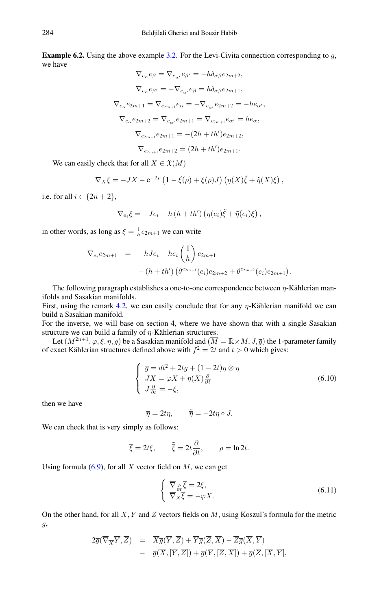<span id="page-8-0"></span>**Example 6.2.** Using the above example [3.2.](#page-2-3) For the Levi-Civita connection corresponding to  $q$ , we have

$$
\nabla_{e_{\alpha}} e_{\beta} = \nabla_{e_{\alpha'}} e_{\beta'} = -h \delta_{\alpha\beta} e_{2m+2},
$$
  
\n
$$
\nabla_{e_{\alpha}} e_{\beta'} = -\nabla_{e_{\alpha'}} e_{\beta} = h \delta_{\alpha\beta} e_{2m+1},
$$
  
\n
$$
\nabla_{e_{\alpha}} e_{2m+1} = \nabla_{e_{2m+1}} e_{\alpha} = -\nabla_{e_{\alpha'}} e_{2m+2} = -h e_{\alpha'},
$$
  
\n
$$
\nabla_{e_{\alpha}} e_{2m+2} = \nabla_{e_{\alpha'}} e_{2m+1} = \nabla_{e_{2m+1}} e_{\alpha'} = h e_{\alpha},
$$
  
\n
$$
\nabla_{e_{2m+1}} e_{2m+1} = -(2h + th') e_{2m+2},
$$
  
\n
$$
\nabla_{e_{2m+1}} e_{2m+2} = (2h + th') e_{2m+1}.
$$

We can easily check that for all  $X \in \mathfrak{X}(M)$ 

$$
\nabla_X \xi = -JX - e^{-2\rho} \left( 1 - \tilde{\xi}(\rho) + \xi(\rho)J \right) \left( \eta(X)\tilde{\xi} + \tilde{\eta}(X)\xi \right),
$$

i.e. for all  $i \in \{2n+2\}$ ,

$$
\nabla_{e_i}\xi = -Je_i - h(h+th')\left(\eta(e_i)\tilde{\xi} + \tilde{\eta}(e_i)\xi\right),
$$

in other words, as long as  $\xi = \frac{1}{h}e_{2m+1}$  we can write

$$
\nabla_{e_i} e_{2m+1} = -hJe_i - he_i \left(\frac{1}{h}\right) e_{2m+1}
$$
  
 
$$
- (h+th') \left(\theta^{e_{2m+1}}(e_i)e_{2m+2} + \theta^{e_{2m+2}}(e_i)e_{2m+1}\right).
$$

The following paragraph establishes a one-to-one correspondence between  $\eta$ -Kählerian manifolds and Sasakian manifolds.

First, using the remark [4.2,](#page-5-1) we can easily conclude that for any η-Kählerian manifold we can build a Sasakian manifold.

For the inverse, we will base on section 4, where we have shown that with a single Sasakian structure we can build a family of  $\eta$ -Kählerian structures.

<span id="page-8-2"></span>Let  $(M^{2n+1}, \varphi, \xi, \eta, g)$  be a Sasakian manifold and  $(\overline{M} = \mathbb{R} \times M, J, \overline{g})$  the 1-parameter family of exact Kählerian structures defined above with  $f^2 = 2t$  and  $t > 0$  which gives:

$$
\begin{cases} \overline{g} = dt^2 + 2tg + (1 - 2t)\eta \otimes \eta \\ JX = \varphi X + \eta(X)\frac{\partial}{\partial t} \\ J\frac{\partial}{\partial t} = -\xi, \end{cases}
$$
 (6.10)

then we have

$$
\overline{\eta} = 2t\eta, \qquad \overline{\tilde{\eta}} = -2t\eta \circ J.
$$

We can check that is very simply as follows:

$$
\overline{\xi} = 2t\xi, \qquad \overline{\tilde{\xi}} = 2t\frac{\partial}{\partial t}, \qquad \rho = \ln 2t.
$$

Using formula  $(6.9)$ , for all X vector field on M, we can get

<span id="page-8-1"></span>
$$
\begin{cases} \nabla_{\frac{\partial}{\partial t}} \overline{\xi} = 2\xi, \\ \nabla_{X} \overline{\xi} = -\varphi X. \n\end{cases} \n\tag{6.11}
$$

On the other hand, for all  $\overline{X}, \overline{Y}$  and  $\overline{Z}$  vectors fields on  $\overline{M}$ , using Koszul's formula for the metric  $\overline{g}$ ,

$$
2\overline{g}(\overline{\nabla}_{\overline{X}}\overline{Y},\overline{Z}) = \overline{X}\overline{g}(\overline{Y},\overline{Z}) + \overline{Y}\overline{g}(\overline{Z},\overline{X}) - \overline{Z}\overline{g}(\overline{X},\overline{Y})
$$
  
-  $\overline{g}(\overline{X}, [\overline{Y},\overline{Z}]) + \overline{g}(\overline{Y}, [\overline{Z},\overline{X}]) + \overline{g}(\overline{Z}, [\overline{X},\overline{Y}],$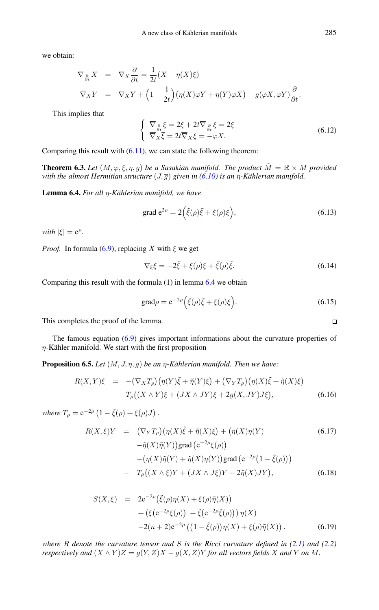we obtain:

$$
\overline{\nabla}_{\frac{\partial}{\partial t}} X = \overline{\nabla}_{X} \frac{\partial}{\partial t} = \frac{1}{2t} (X - \eta(X)\xi)
$$
  

$$
\overline{\nabla}_{X} Y = \nabla_{X} Y + \left(1 - \frac{1}{2t}\right) (\eta(X)\varphi Y + \eta(Y)\varphi X) - g(\varphi X, \varphi Y) \frac{\partial}{\partial t}.
$$

This implies that

$$
\begin{cases} \nabla_{\frac{\partial}{\partial t}} \overline{\xi} = 2\xi + 2t \overline{\nabla}_{\frac{\partial}{\partial t}} \xi = 2\xi \\ \nabla_X \overline{\xi} = 2t \overline{\nabla}_X \xi = -\varphi X. \n\end{cases} \tag{6.12}
$$

Comparing this result with  $(6.11)$ , we can state the following theorem:

**Theorem 6.3.** Let  $(M, \varphi, \xi, \eta, g)$  be a Sasakian manifold. The product  $\tilde{M} = \mathbb{R} \times M$  provided *with the almost Hermitian structure* (J, g) *given in [\(6.10\)](#page-8-2) is an* η*-Kählerian manifold.*

<span id="page-9-0"></span>Lemma 6.4. *For all* η*-Kählerian manifold, we have*

grad 
$$
e^{2\rho} = 2(\tilde{\xi}(\rho)\tilde{\xi} + \xi(\rho)\xi),
$$
 (6.13)

 $with |\xi| = e^{\rho}.$ 

*Proof.* In formula [\(6.9\)](#page-7-6), replacing X with  $\xi$  we get

$$
\nabla_{\xi}\xi = -2\tilde{\xi} + \xi(\rho)\xi + \tilde{\xi}(\rho)\tilde{\xi}.
$$
\n(6.14)

Comparing this result with the formula (1) in lemma [6.4](#page-9-0) we obtain

$$
\text{grad}\rho = e^{-2\rho} \Big( \tilde{\xi}(\rho)\tilde{\xi} + \xi(\rho)\xi \Big). \tag{6.15}
$$

This completes the proof of the lemma.

The famous equation [\(6.9\)](#page-7-6) gives important informations about the curvature properties of  $\eta$ -Kähler manifold. We start with the first proposition

<span id="page-9-3"></span>Proposition 6.5. *Let* (M, J, η, g) *be an* η*-Kählerian manifold. Then we have:*

<span id="page-9-1"></span>
$$
R(X,Y)\xi = -(\nabla_X T_\rho)(\eta(Y)\tilde{\xi} + \tilde{\eta}(Y)\xi) + (\nabla_Y T_\rho)(\eta(X)\tilde{\xi} + \tilde{\eta}(X)\xi)
$$
  
- 
$$
T_\rho((X \wedge Y)\xi + (JX \wedge JY)\xi + 2g(X,JY)J\xi), \qquad (6.16)
$$

*where*  $T_{\rho} = e^{-2\rho} (1 - \tilde{\xi}(\rho) + \xi(\rho)J)$ .

$$
R(X,\xi)Y = (\nabla_Y T_\rho)(\eta(X)\tilde{\xi} + \tilde{\eta}(X)\xi) + (\eta(X)\eta(Y)
$$
(6.17)  
\n
$$
-\tilde{\eta}(X)\tilde{\eta}(Y)\text{grad}(e^{-2\rho}\xi(\rho))
$$
\n
$$
-(\eta(X)\tilde{\eta}(Y) + \tilde{\eta}(X)\eta(Y)\text{grad}(e^{-2\rho}(1-\tilde{\xi}(\rho)))
$$
\n
$$
-T_\rho((X \wedge \xi)Y + (JX \wedge J\xi)Y + 2\tilde{\eta}(X)JY),
$$
(6.18)

<span id="page-9-2"></span>
$$
S(X,\xi) = 2e^{-2\rho}(\tilde{\xi}(\rho)\eta(X) + \xi(\rho)\tilde{\eta}(X)) + (\xi(e^{-2\rho}\xi(\rho)) + \tilde{\xi}(e^{-2\rho}\tilde{\xi}(\rho))) \eta(X) -2(n+2)e^{-2\rho} ((1-\tilde{\xi}(\rho))\eta(X) + \xi(\rho)\tilde{\eta}(X)).
$$
 (6.19)

*where* R *denote the curvature tensor and* S *is the Ricci curvature defined in [\(2.1\)](#page-0-0) and [\(2.2\)](#page-0-1) respectively and*  $(X \wedge Y)Z = g(Y, Z)X - g(X, Z)Y$  *for all vectors fields* X *and* Y *on* M.

 $\Box$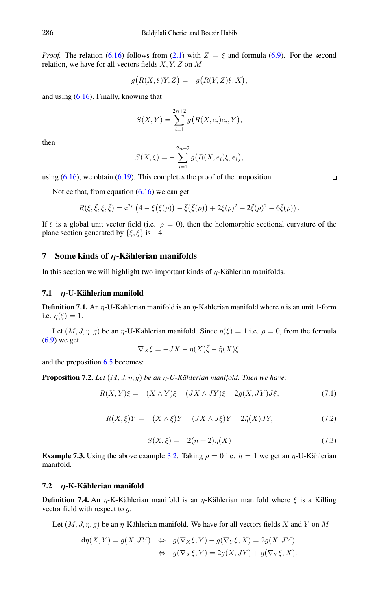*Proof.* The relation [\(6.16\)](#page-9-1) follows from [\(2.1\)](#page-0-0) with  $Z = \xi$  and formula [\(6.9\)](#page-7-6). For the second relation, we have for all vectors fields  $X, Y, Z$  on  $M$ 

$$
g(R(X,\xi)Y,Z) = -g(R(Y,Z)\xi,X),
$$

and using  $(6.16)$ . Finally, knowing that

$$
S(X,Y) = \sum_{i=1}^{2n+2} g(R(X, e_i)e_i, Y),
$$

then

$$
S(X,\xi) = -\sum_{i=1}^{2n+2} g(R(X,e_i)\xi, e_i),
$$

using  $(6.16)$ , we obtain  $(6.19)$ . This completes the proof of the proposition.

Notice that, from equation  $(6.16)$  we can get

$$
R(\xi, \tilde{\xi}, \xi, \tilde{\xi}) = e^{2\rho} \left( 4 - \xi(\xi(\rho)) - \tilde{\xi}(\tilde{\xi}(\rho)) + 2\xi(\rho)^2 + 2\tilde{\xi}(\rho)^2 - 6\tilde{\xi}(\rho) \right).
$$

If  $\xi$  is a global unit vector field (i.e.  $\rho = 0$ ), then the holomorphic sectional curvature of the plane section generated by  $\{\xi, \tilde{\xi}\}\$ is −4.

#### 7 Some kinds of  $\eta$ -Kählerian manifolds

In this section we will highlight two important kinds of  $\eta$ -Kählerian manifolds.

### 7.1  $n$ -U-Kählerian manifold

**Definition 7.1.** An  $\eta$ -U-Kählerian manifold is an  $\eta$ -Kählerian manifold where  $\eta$  is an unit 1-form i.e.  $\eta(\xi) = 1$ .

Let  $(M, J, \eta, q)$  be an  $\eta$ -U-Kählerian manifold. Since  $\eta(\xi) = 1$  i.e.  $\rho = 0$ , from the formula [\(6.9\)](#page-7-6) we get

$$
\nabla_X \xi = -JX - \eta(X)\tilde{\xi} - \tilde{\eta}(X)\xi,
$$

and the proposition [6.5](#page-9-3) becomes:

Proposition 7.2. *Let* (M, J, η, g) *be an* η*-U-Kählerian manifold. Then we have:*

$$
R(X,Y)\xi = -(X \wedge Y)\xi - (JX \wedge JY)\xi - 2g(X,JY)J\xi, \tag{7.1}
$$

$$
R(X,\xi)Y = -(X \wedge \xi)Y - (JX \wedge J\xi)Y - 2\tilde{\eta}(X)JY, \tag{7.2}
$$

$$
S(X,\xi) = -2(n+2)\eta(X)
$$
\n(7.3)

**Example 7.3.** Using the above example [3.2.](#page-2-3) Taking  $\rho = 0$  i.e.  $h = 1$  we get an  $\eta$ -U-Kählerian manifold.

#### 7.2  $\eta$ -K-Kählerian manifold

**Definition 7.4.** An  $\eta$ -K-Kählerian manifold is an  $\eta$ -Kählerian manifold where  $\xi$  is a Killing vector field with respect to g.

Let  $(M, J, \eta, g)$  be an  $\eta$ -Kählerian manifold. We have for all vectors fields X and Y on M

$$
d\eta(X,Y) = g(X,JY) \Leftrightarrow g(\nabla_X \xi, Y) - g(\nabla_Y \xi, X) = 2g(X,JY)
$$
  

$$
\Leftrightarrow g(\nabla_X \xi, Y) = 2g(X,JY) + g(\nabla_Y \xi, X).
$$

 $\Box$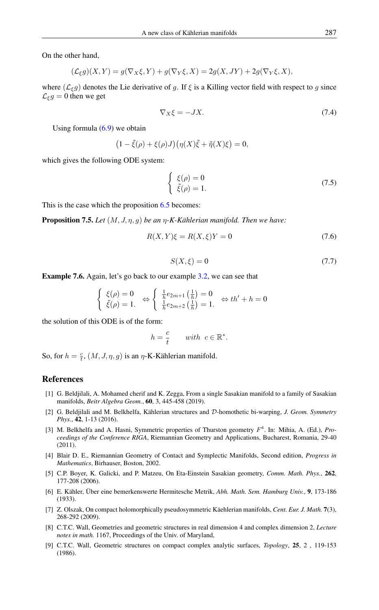On the other hand,

$$
(\mathcal{L}_{\xi}g)(X,Y) = g(\nabla_X \xi, Y) + g(\nabla_Y \xi, X) = 2g(X,JY) + 2g(\nabla_Y \xi, X),
$$

where  $(\mathcal{L}_{\xi}g)$  denotes the Lie derivative of g. If  $\xi$  is a Killing vector field with respect to g since  $\mathcal{L}_{\xi} g = 0$  then we get

$$
\nabla_X \xi = -JX. \tag{7.4}
$$

Using formula  $(6.9)$  we obtain

$$
(1 - \tilde{\xi}(\rho) + \xi(\rho)J)(\eta(X)\tilde{\xi} + \tilde{\eta}(X)\xi) = 0,
$$

which gives the following ODE system:

$$
\begin{cases} \xi(\rho) = 0\\ \tilde{\xi}(\rho) = 1. \end{cases}
$$
\n(7.5)

This is the case which the proposition [6.5](#page-9-3) becomes:

Proposition 7.5. *Let* (M, J, η, g) *be an* η*-K-Kählerian manifold. Then we have:*

$$
R(X,Y)\xi = R(X,\xi)Y = 0\tag{7.6}
$$

$$
S(X,\xi) = 0\tag{7.7}
$$

Example 7.6. Again, let's go back to our example [3.2,](#page-2-3) we can see that

$$
\begin{cases} \xi(\rho) = 0\\ \tilde{\xi}(\rho) = 1. \end{cases} \Leftrightarrow \begin{cases} \frac{1}{h}e_{2m+1}\left(\frac{1}{h}\right) = 0\\ \frac{1}{h}e_{2m+2}\left(\frac{1}{h}\right) = 1. \end{cases} \Leftrightarrow th' + h = 0
$$

the solution of this ODE is of the form:

$$
h = \frac{c}{t} \qquad with \ \ c \in \mathbb{R}^*.
$$

So, for  $h = \frac{c}{t}$ ,  $(M, J, \eta, g)$  is an  $\eta$ -K-Kählerian manifold.

### <span id="page-11-0"></span>References

- <span id="page-11-9"></span>[1] G. Beldjilali, A. Mohamed cherif and K. Zegga, From a single Sasakian manifold to a family of Sasakian manifolds, *Beitr Algebra Geom.*, 60, 3, 445-458 (2019).
- <span id="page-11-8"></span>[2] G. Beldjilali and M. Belkhelfa, Kählerian structures and D-homothetic bi-warping, *J. Geom. Symmetry Phys.*, 42, 1-13 (2016).
- <span id="page-11-5"></span>[3] M. Belkhelfa and A. Hasni, Symmetric properties of Thurston geometry F 4 . In: Mihia, A. (Ed.), *Proceedings of the Conference RIGA*, Riemannian Geometry and Applications, Bucharest, Romania, 29-40 (2011).
- <span id="page-11-2"></span>[4] Blair D. E., Riemannian Geometry of Contact and Symplectic Manifolds, Second edition, *Progress in Mathematics*, Birhauser, Boston, 2002.
- <span id="page-11-3"></span>[5] C.P. Boyer, K. Galicki, and P. Matzeu, On Eta-Einstein Sasakian geometry, *Comm. Math. Phys.*, 262, 177-208 (2006).
- <span id="page-11-1"></span>[6] E. Kähler, Über eine bemerkenswerte Hermitesche Metrik, *Abh. Math. Sem. Hamburg Univ.*, 9, 173-186 (1933).
- <span id="page-11-4"></span>[7] Z. Olszak, On compact holomorphically pseudosymmetric Käehlerian manifolds, *Cent. Eur. J. Math.* 7(3), 268-292 (2009).
- <span id="page-11-6"></span>[8] C.T.C. Wall, Geometries and geometric structures in real dimension 4 and complex dimension 2, *Lecture notes in math.* 1167, Proceedings of the Univ. of Maryland,
- <span id="page-11-7"></span>[9] C.T.C. Wall, Geometric structures on compact complex analytic surfaces, *Topology*, 25, 2 , 119-153 (1986).